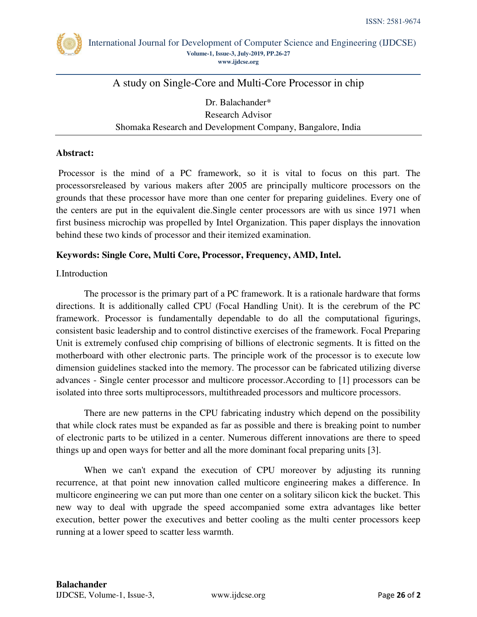

International Journal for Development of Computer Science and Engineering (IJDCSE) **Volume-1, Issue-3, July-2019, PP.26-27 [www.ijdcse.org](http://www.ijdcse.org/)**

# A study on Single-Core and Multi-Core Processor in chip

Dr. Balachander\* Research Advisor Shomaka Research and Development Company, Bangalore, India

#### **Abstract:**

 Processor is the mind of a PC framework, so it is vital to focus on this part. The processorsreleased by various makers after 2005 are principally multicore processors on the grounds that these processor have more than one center for preparing guidelines. Every one of the centers are put in the equivalent die.Single center processors are with us since 1971 when first business microchip was propelled by Intel Organization. This paper displays the innovation behind these two kinds of processor and their itemized examination.

### **Keywords: Single Core, Multi Core, Processor, Frequency, AMD, Intel.**

#### I.Introduction

The processor is the primary part of a PC framework. It is a rationale hardware that forms directions. It is additionally called CPU (Focal Handling Unit). It is the cerebrum of the PC framework. Processor is fundamentally dependable to do all the computational figurings, consistent basic leadership and to control distinctive exercises of the framework. Focal Preparing Unit is extremely confused chip comprising of billions of electronic segments. It is fitted on the motherboard with other electronic parts. The principle work of the processor is to execute low dimension guidelines stacked into the memory. The processor can be fabricated utilizing diverse advances - Single center processor and multicore processor.According to [1] processors can be isolated into three sorts multiprocessors, multithreaded processors and multicore processors.

There are new patterns in the CPU fabricating industry which depend on the possibility that while clock rates must be expanded as far as possible and there is breaking point to number of electronic parts to be utilized in a center. Numerous different innovations are there to speed things up and open ways for better and all the more dominant focal preparing units [3].

When we can't expand the execution of CPU moreover by adjusting its running recurrence, at that point new innovation called multicore engineering makes a difference. In multicore engineering we can put more than one center on a solitary silicon kick the bucket. This new way to deal with upgrade the speed accompanied some extra advantages like better execution, better power the executives and better cooling as the multi center processors keep running at a lower speed to scatter less warmth.